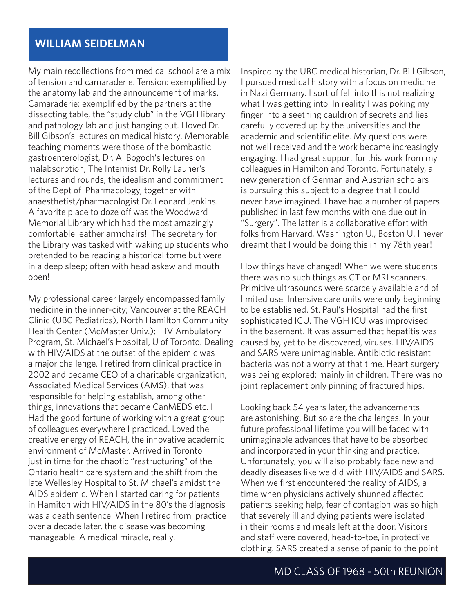## **WILLIAM SEIDELMAN**

My main recollections from medical school are a mix of tension and camaraderie. Tension: exemplified by the anatomy lab and the announcement of marks. Camaraderie: exemplified by the partners at the dissecting table, the "study club" in the VGH library and pathology lab and just hanging out. I loved Dr. Bill Gibson's lectures on medical history. Memorable teaching moments were those of the bombastic gastroenterologist, Dr. Al Bogoch's lectures on malabsorption, The Internist Dr. Rolly Launer's lectures and rounds, the idealism and commitment of the Dept of Pharmacology, together with anaesthetist/pharmacologist Dr. Leonard Jenkins. A favorite place to doze off was the Woodward Memorial Library which had the most amazingly comfortable leather armchairs! The secretary for the Library was tasked with waking up students who pretended to be reading a historical tome but were in a deep sleep; often with head askew and mouth open!

My professional career largely encompassed family medicine in the inner-city; Vancouver at the REACH Clinic (UBC Pediatrics), North Hamilton Community Health Center (McMaster Univ.); HIV Ambulatory Program, St. Michael's Hospital, U of Toronto. Dealing with HIV/AIDS at the outset of the epidemic was a major challenge. I retired from clinical practice in 2002 and became CEO of a charitable organization, Associated Medical Services (AMS), that was responsible for helping establish, among other things, innovations that became CanMEDS etc. I Had the good fortune of working with a great group of colleagues everywhere I practiced. Loved the creative energy of REACH, the innovative academic environment of McMaster. Arrived in Toronto just in time for the chaotic "restructuring" of the Ontario health care system and the shift from the late Wellesley Hospital to St. Michael's amidst the AIDS epidemic. When I started caring for patients in Hamiton with HIV/AIDS in the 80's the diagnosis was a death sentence. When I retired from practice over a decade later, the disease was becoming manageable. A medical miracle, really.

Inspired by the UBC medical historian, Dr. Bill Gibson, I pursued medical history with a focus on medicine in Nazi Germany. I sort of fell into this not realizing what I was getting into. In reality I was poking my finger into a seething cauldron of secrets and lies carefully covered up by the universities and the academic and scientific elite. My questions were not well received and the work became increasingly engaging. I had great support for this work from my colleagues in Hamilton and Toronto. Fortunately, a new generation of German and Austrian scholars is pursuing this subject to a degree that I could never have imagined. I have had a number of papers published in last few months with one due out in "Surgery". The latter is a collaborative effort with folks from Harvard, Washington U., Boston U. I never dreamt that I would be doing this in my 78th year!

How things have changed! When we were students there was no such things as CT or MRI scanners. Primitive ultrasounds were scarcely available and of limited use. Intensive care units were only beginning to be established. St. Paul's Hospital had the first sophisticated ICU. The VGH ICU was improvised in the basement. It was assumed that hepatitis was caused by, yet to be discovered, viruses. HIV/AIDS and SARS were unimaginable. Antibiotic resistant bacteria was not a worry at that time. Heart surgery was being explored; mainly in children. There was no joint replacement only pinning of fractured hips.

Looking back 54 years later, the advancements are astonishing. But so are the challenges. In your future professional lifetime you will be faced with unimaginable advances that have to be absorbed and incorporated in your thinking and practice. Unfortunately, you will also probably face new and deadly diseases like we did with HIV/AIDS and SARS. When we first encountered the reality of AIDS, a time when physicians actively shunned affected patients seeking help, fear of contagion was so high that severely ill and dying patients were isolated in their rooms and meals left at the door. Visitors and staff were covered, head-to-toe, in protective clothing. SARS created a sense of panic to the point

## MD CLASS OF 1968 - 50th REUNION